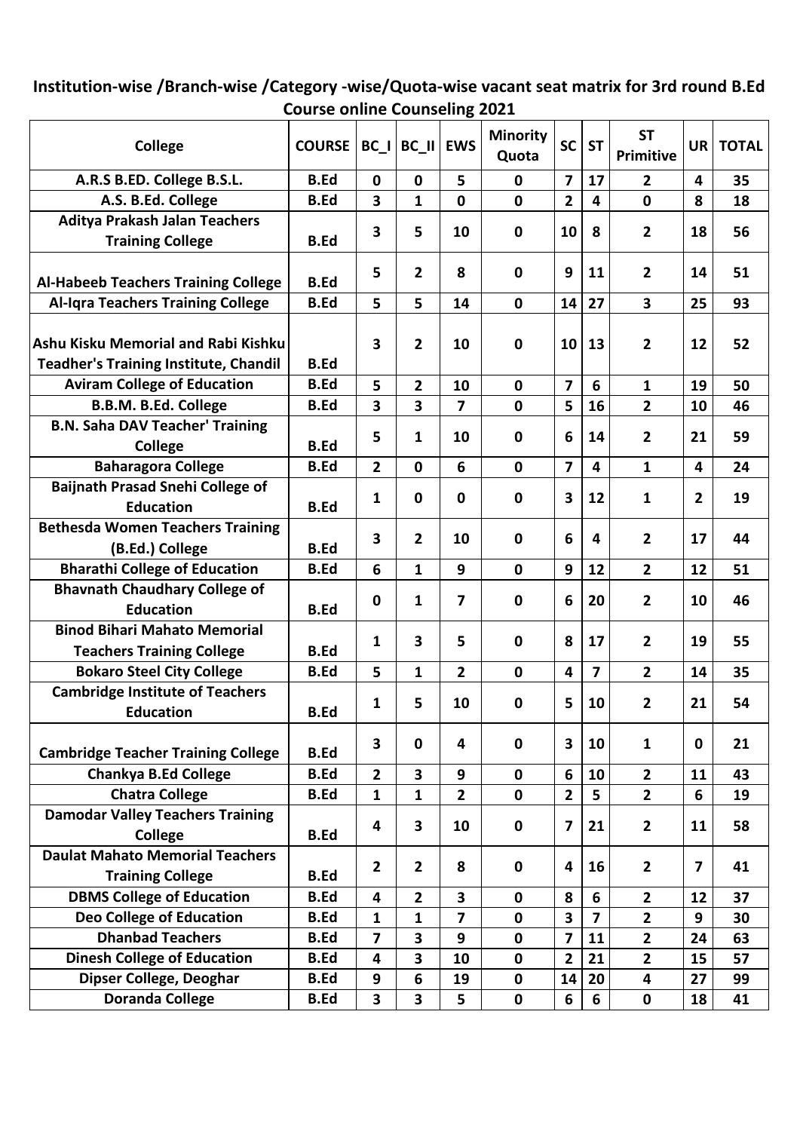## **Institution-wise /Branch-wise /Category -wise/Quota-wise vacant seat matrix for 3rd round B.Ed Course online Counseling 2021**

| College                                                                             | <b>COURSE</b> | $BC$                    | $BC$ II                 | <b>EWS</b>              | <b>Minority</b><br>Quota | <b>SC</b>               | <b>ST</b>               | <b>ST</b><br><b>Primitive</b> | UR             | <b>TOTAL</b> |
|-------------------------------------------------------------------------------------|---------------|-------------------------|-------------------------|-------------------------|--------------------------|-------------------------|-------------------------|-------------------------------|----------------|--------------|
| A.R.S B.ED. College B.S.L.                                                          | <b>B.Ed</b>   | $\mathbf{0}$            | $\mathbf{0}$            | 5                       | $\mathbf 0$              | $\overline{7}$          | 17                      | $\overline{2}$                | 4              | 35           |
| A.S. B.Ed. College                                                                  | <b>B.Ed</b>   | 3                       | 1                       | $\mathbf 0$             | $\mathbf 0$              | $\overline{2}$          | 4                       | $\mathbf 0$                   | 8              | 18           |
| <b>Aditya Prakash Jalan Teachers</b>                                                |               |                         |                         | 10                      | $\mathbf 0$              |                         | 8                       |                               |                | 56           |
| <b>Training College</b>                                                             | <b>B.Ed</b>   | 3                       | 5                       |                         |                          | 10                      |                         | $\overline{2}$                | 18             |              |
| <b>Al-Habeeb Teachers Training College</b>                                          | <b>B.Ed</b>   | 5                       | $\overline{2}$          | 8                       | $\mathbf 0$              | 9                       | 11                      | $\overline{2}$                | 14             | 51           |
| <b>Al-Iqra Teachers Training College</b>                                            | <b>B.Ed</b>   | 5                       | 5                       | 14                      | $\mathbf 0$              | 14                      | 27                      | $\overline{\mathbf{3}}$       | 25             | 93           |
| Ashu Kisku Memorial and Rabi Kishku<br><b>Teadher's Training Institute, Chandil</b> | <b>B.Ed</b>   | 3                       | $\mathbf{2}$            | 10                      | $\mathbf 0$              | 10                      | 13                      | $\overline{2}$                | 12             | 52           |
| <b>Aviram College of Education</b>                                                  | <b>B.Ed</b>   | 5                       | $\overline{2}$          | 10                      | $\mathbf 0$              | $\overline{\mathbf{z}}$ | 6                       | $\mathbf{1}$                  | 19             | 50           |
| <b>B.B.M. B.Ed. College</b>                                                         | <b>B.Ed</b>   | 3                       | 3                       | $\overline{\mathbf{z}}$ | $\mathbf 0$              | 5                       | 16                      | $\overline{2}$                | 10             | 46           |
| <b>B.N. Saha DAV Teacher' Training</b>                                              |               |                         |                         |                         | $\mathbf 0$              |                         | 14                      | $\overline{2}$                | 21             | 59           |
| College                                                                             | <b>B.Ed</b>   | 5                       | 1                       | 10                      |                          | 6                       |                         |                               |                |              |
| <b>Baharagora College</b>                                                           | <b>B.Ed</b>   | $\overline{2}$          | $\mathbf 0$             | 6                       | $\mathbf 0$              | 7                       | 4                       | 1                             | 4              | 24           |
| <b>Baijnath Prasad Snehi College of</b>                                             |               | 1                       | $\bf{0}$                | 0                       | $\mathbf 0$              | 3                       | 12                      | $\mathbf{1}$                  | $\overline{2}$ | 19           |
| <b>Education</b>                                                                    | <b>B.Ed</b>   |                         |                         |                         |                          |                         |                         |                               |                |              |
| <b>Bethesda Women Teachers Training</b><br>(B.Ed.) College                          | <b>B.Ed</b>   | 3                       | $\overline{2}$          | 10                      | $\mathbf 0$              | 6                       | 4                       | $\overline{\mathbf{2}}$       | 17             | 44           |
| <b>Bharathi College of Education</b>                                                | <b>B.Ed</b>   | 6                       | $\mathbf{1}$            | 9                       | $\mathbf 0$              | 9                       | 12                      | $\overline{2}$                | 12             | 51           |
| <b>Bhavnath Chaudhary College of</b>                                                |               |                         |                         |                         |                          |                         |                         |                               |                |              |
| <b>Education</b>                                                                    | <b>B.Ed</b>   | 0                       | 1                       | 7                       | $\mathbf 0$              | 6                       | 20                      | $\overline{2}$                | 10             | 46           |
| <b>Binod Bihari Mahato Memorial</b>                                                 |               |                         | 3                       |                         |                          |                         |                         |                               | 19             |              |
| <b>Teachers Training College</b>                                                    | <b>B.Ed</b>   | 1                       |                         | 5                       | $\mathbf 0$              | 8                       | 17                      | $\overline{2}$                |                | 55           |
| <b>Bokaro Steel City College</b>                                                    | <b>B.Ed</b>   | 5                       | 1                       | $\overline{2}$          | $\mathbf 0$              | 4                       | $\overline{7}$          | $\overline{2}$                | 14             | 35           |
| <b>Cambridge Institute of Teachers</b>                                              |               | 1                       | 5                       | 10                      | $\mathbf 0$              |                         | 10                      | 2                             | 21             | 54           |
| <b>Education</b>                                                                    | <b>B.Ed</b>   |                         |                         |                         |                          | 5                       |                         |                               |                |              |
| <b>Cambridge Teacher Training College</b>                                           | <b>B.Ed</b>   | 3                       | $\mathbf 0$             | 4                       | $\mathbf 0$              | 3                       | 10                      | $\mathbf{1}$                  | $\mathbf 0$    | 21           |
| <b>Chankya B.Ed College</b>                                                         | <b>B.Ed</b>   | $\overline{2}$          | $\overline{\mathbf{3}}$ | 9                       | $\mathbf 0$              | 6                       | 10                      | $\overline{2}$                | 11             | 43           |
| <b>Chatra College</b>                                                               | <b>B.Ed</b>   | $\mathbf{1}$            | $\mathbf{1}$            | $\overline{2}$          | $\mathbf 0$              | $\overline{2}$          | 5                       | $\overline{2}$                | 6              | 19           |
| <b>Damodar Valley Teachers Training</b>                                             |               | 4                       | 3                       | 10                      | $\mathbf 0$              | 7                       | 21                      | $\overline{2}$                | 11             | 58           |
| College                                                                             | <b>B.Ed</b>   |                         |                         |                         |                          |                         |                         |                               |                |              |
| <b>Daulat Mahato Memorial Teachers</b>                                              |               | 2                       | $\mathbf{2}$            | 8                       | $\mathbf 0$              | 4                       | 16                      | $\overline{2}$                | $\overline{7}$ | 41           |
| <b>Training College</b>                                                             | <b>B.Ed</b>   |                         |                         |                         |                          |                         |                         |                               |                |              |
| <b>DBMS College of Education</b>                                                    | <b>B.Ed</b>   | 4                       | $\overline{2}$          | 3                       | $\mathbf 0$              | 8                       | 6                       | $\overline{2}$                | 12             | 37           |
| <b>Deo College of Education</b>                                                     | <b>B.Ed</b>   | $\mathbf{1}$            | $\mathbf{1}$            | $\overline{7}$          | $\mathbf 0$              | $\overline{\mathbf{3}}$ | $\overline{\mathbf{z}}$ | $\overline{2}$                | 9              | 30           |
| <b>Dhanbad Teachers</b>                                                             | <b>B.Ed</b>   | $\overline{7}$          | $\overline{\mathbf{3}}$ | 9                       | $\mathbf 0$              | $\overline{\mathbf{z}}$ | 11                      | $\overline{2}$                | 24             | 63           |
| <b>Dinesh College of Education</b>                                                  | <b>B.Ed</b>   | 4                       | 3                       | 10                      | $\mathbf 0$              | $\overline{2}$          | 21                      | $\overline{2}$                | 15             | 57           |
| Dipser College, Deoghar                                                             | <b>B.Ed</b>   | 9                       | 6                       | 19                      | $\mathbf 0$              | 14                      | 20                      | $\overline{\mathbf{4}}$       | 27             | 99           |
| <b>Doranda College</b>                                                              | <b>B.Ed</b>   | $\overline{\mathbf{3}}$ | 3                       | 5                       | $\mathbf 0$              | 6                       | 6                       | $\mathbf 0$                   | 18             | 41           |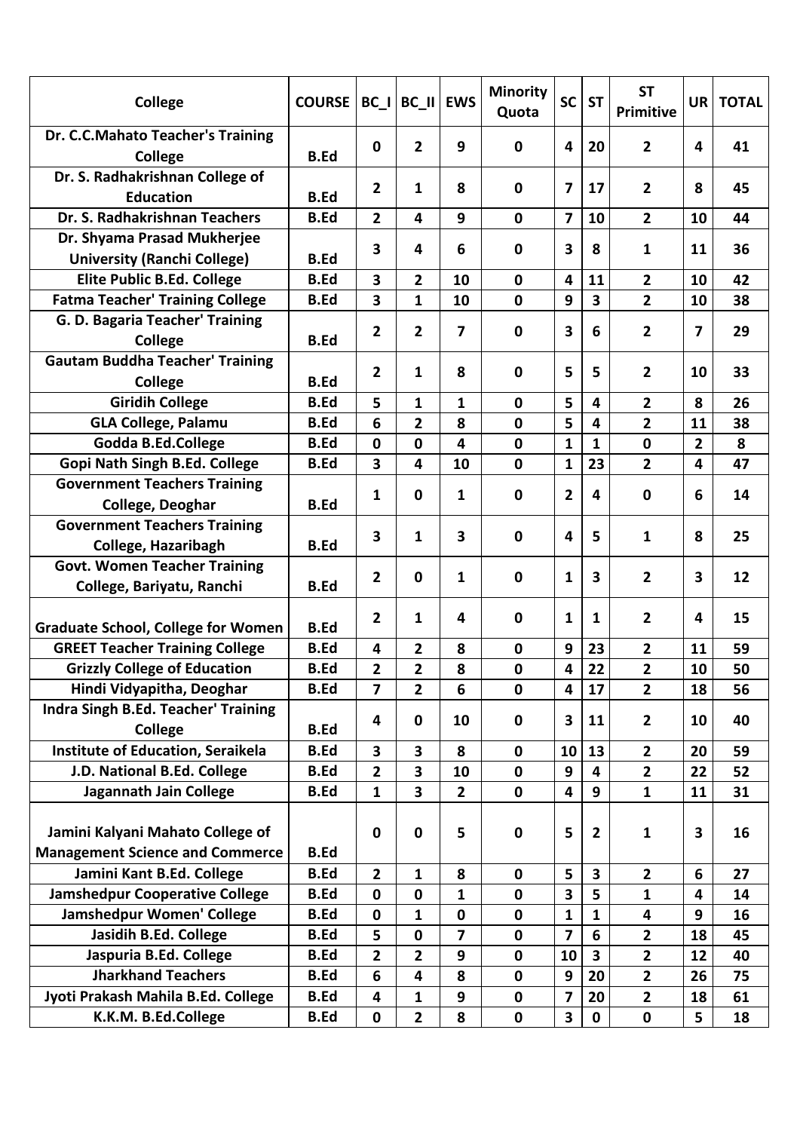| College                                                                    | <b>COURSE</b> | BC I           | BC II EWS               |                         | <b>Minority</b><br>Quota | <b>SC</b>      | <b>ST</b>               | <b>ST</b><br>Primitive | UR | <b>TOTAL</b> |
|----------------------------------------------------------------------------|---------------|----------------|-------------------------|-------------------------|--------------------------|----------------|-------------------------|------------------------|----|--------------|
| Dr. C.C.Mahato Teacher's Training<br><b>College</b>                        | <b>B.Ed</b>   | $\mathbf{0}$   | $\overline{2}$          | 9                       | $\mathbf 0$              | 4              | 20                      | $\overline{2}$         | 4  | 41           |
| Dr. S. Radhakrishnan College of                                            |               | 2              | 1                       | 8                       | $\mathbf 0$              | 7              | 17                      | $\overline{2}$         | 8  | 45           |
| <b>Education</b>                                                           | <b>B.Ed</b>   |                |                         |                         |                          |                |                         |                        |    |              |
| Dr. S. Radhakrishnan Teachers                                              | <b>B.Ed</b>   | $\overline{2}$ | 4                       | 9                       | $\mathbf 0$              | 7              | 10                      | $\overline{2}$         | 10 | 44           |
| Dr. Shyama Prasad Mukherjee                                                |               | 3              | 4                       | 6                       | 0                        | 3              | 8                       | $\mathbf{1}$           | 11 | 36           |
| <b>University (Ranchi College)</b>                                         | <b>B.Ed</b>   |                |                         |                         |                          |                |                         |                        |    |              |
| <b>Elite Public B.Ed. College</b>                                          | <b>B.Ed</b>   | 3              | $\overline{2}$          | 10                      | $\mathbf 0$              | 4              | 11                      | $\overline{2}$         | 10 | 42           |
| <b>Fatma Teacher' Training College</b>                                     | <b>B.Ed</b>   | 3              | $\mathbf{1}$            | 10                      | $\mathbf 0$              | 9              | $\overline{\mathbf{3}}$ | $\overline{2}$         | 10 | 38           |
| G. D. Bagaria Teacher' Training                                            |               | $\mathbf{2}$   | $\overline{2}$          | 7                       | $\mathbf 0$              | 3              | 6                       | $\overline{2}$         | 7  | 29           |
| College                                                                    | <b>B.Ed</b>   |                |                         |                         |                          |                |                         |                        |    |              |
| <b>Gautam Buddha Teacher' Training</b>                                     |               | 2              | 1                       | 8                       | $\mathbf 0$              | 5              | 5                       | $\overline{2}$         | 10 | 33           |
| College                                                                    | <b>B.Ed</b>   |                |                         |                         |                          |                |                         |                        |    |              |
| <b>Giridih College</b>                                                     | <b>B.Ed</b>   | 5              | $\mathbf{1}$            | 1                       | $\mathbf 0$              | 5              | 4                       | $\overline{2}$         | 8  | 26           |
| <b>GLA College, Palamu</b>                                                 | <b>B.Ed</b>   | 6              | $\overline{2}$          | 8                       | $\mathbf 0$              | 5              | 4                       | $\overline{2}$         | 11 | 38           |
| Godda B.Ed.College                                                         | <b>B.Ed</b>   | $\mathbf 0$    | $\mathbf 0$             | $\overline{\mathbf{4}}$ | $\mathbf 0$              | 1              | $\mathbf{1}$            | $\mathbf 0$            | 2  | 8            |
| Gopi Nath Singh B.Ed. College                                              | <b>B.Ed</b>   | 3              | $\overline{\mathbf{4}}$ | 10                      | $\mathbf 0$              | $\mathbf{1}$   | 23                      | $\overline{2}$         | 4  | 47           |
| <b>Government Teachers Training</b>                                        |               | 1              | $\mathbf 0$             | 1                       | $\mathbf 0$              | $\overline{2}$ | $\overline{\mathbf{4}}$ | $\mathbf 0$            | 6  | 14           |
| College, Deoghar                                                           | <b>B.Ed</b>   |                |                         |                         |                          |                |                         |                        |    |              |
| <b>Government Teachers Training</b>                                        |               |                |                         |                         |                          |                | 5                       |                        |    |              |
| College, Hazaribagh                                                        | <b>B.Ed</b>   | 3              | 1                       | 3                       | $\mathbf 0$              | 4              |                         | $\mathbf{1}$           | 8  | 25           |
| <b>Govt. Women Teacher Training</b>                                        |               |                |                         |                         |                          |                |                         |                        |    |              |
| College, Bariyatu, Ranchi                                                  | <b>B.Ed</b>   | 2              | $\mathbf 0$             | 1                       | $\mathbf 0$              | 1              | $\overline{\mathbf{3}}$ | $\overline{2}$         | 3  | 12           |
| <b>Graduate School, College for Women</b>                                  | <b>B.Ed</b>   | 2              | 1                       | 4                       | 0                        | $\mathbf{1}$   | $\mathbf{1}$            | $\overline{2}$         | 4  | 15           |
| <b>GREET Teacher Training College</b>                                      | <b>B.Ed</b>   | 4              | $\overline{2}$          | 8                       | $\mathbf 0$              | 9              | 23                      | $\overline{2}$         | 11 | 59           |
| <b>Grizzly College of Education</b>                                        | <b>B.Ed</b>   | 2              | $\overline{2}$          | 8                       | $\mathbf 0$              | 4              | 22                      | $\overline{2}$         | 10 | 50           |
| Hindi Vidyapitha, Deoghar                                                  | <b>B.Ed</b>   | 7              | 2                       | 6                       | $\mathbf 0$              | 4              | 17                      | $\overline{2}$         | 18 | 56           |
| Indra Singh B.Ed. Teacher' Training                                        |               | 4              | $\mathbf 0$             | 10                      | $\mathbf 0$              | 3              | 11                      | $\overline{2}$         | 10 | 40           |
| College                                                                    | <b>B.Ed</b>   |                |                         |                         |                          |                |                         |                        |    |              |
| <b>Institute of Education, Seraikela</b>                                   | <b>B.Ed</b>   | 3              | 3                       | 8                       | $\mathbf 0$              | 10             | 13                      | $\overline{2}$         | 20 | 59           |
| J.D. National B.Ed. College                                                | <b>B.Ed</b>   | $\overline{2}$ | $\overline{\mathbf{3}}$ | 10                      | $\mathbf 0$              | 9              | 4                       | $\overline{2}$         | 22 | 52           |
| Jagannath Jain College                                                     | <b>B.Ed</b>   | $\mathbf{1}$   | 3                       | $\overline{2}$          | $\mathbf 0$              | 4              | 9                       | $\mathbf{1}$           | 11 | 31           |
| Jamini Kalyani Mahato College of<br><b>Management Science and Commerce</b> | <b>B.Ed</b>   | 0              | $\mathbf 0$             | 5                       | $\mathbf 0$              | 5              | $\overline{2}$          | $\mathbf{1}$           | 3  | 16           |
| Jamini Kant B.Ed. College                                                  | <b>B.Ed</b>   | $\overline{2}$ | 1                       | 8                       | $\mathbf 0$              | 5              | 3                       | $\mathbf{2}$           | 6  | 27           |
| <b>Jamshedpur Cooperative College</b>                                      | <b>B.Ed</b>   | $\mathbf 0$    | $\mathbf 0$             | $\mathbf{1}$            | $\mathbf 0$              | 3              | 5                       | $\mathbf{1}$           | 4  | 14           |
| Jamshedpur Women' College                                                  | <b>B.Ed</b>   | $\mathbf 0$    | 1                       | $\mathbf 0$             | $\mathbf 0$              | 1              | $\mathbf{1}$            | 4                      | 9  | 16           |
| Jasidih B.Ed. College                                                      | <b>B.Ed</b>   | 5              | $\mathbf 0$             | $\overline{\mathbf{z}}$ | $\mathbf 0$              | $\overline{7}$ | 6                       | $\overline{2}$         | 18 | 45           |
| Jaspuria B.Ed. College                                                     | <b>B.Ed</b>   | $\overline{2}$ | $\overline{2}$          | 9                       | $\mathbf 0$              | 10             | $\overline{\mathbf{3}}$ | $\overline{2}$         | 12 | 40           |
| <b>Jharkhand Teachers</b>                                                  | <b>B.Ed</b>   | 6              | $\overline{\mathbf{4}}$ | 8                       | $\mathbf 0$              | 9              | 20                      | $\overline{2}$         | 26 | 75           |
| Jyoti Prakash Mahila B.Ed. College                                         | <b>B.Ed</b>   | 4              | 1                       | 9                       | $\mathbf 0$              | 7              | 20                      | $\overline{2}$         | 18 | 61           |
| K.K.M. B.Ed.College                                                        | <b>B.Ed</b>   | $\mathbf 0$    | $\overline{2}$          | 8                       | $\mathbf 0$              | 3              | $\mathbf 0$             | $\pmb{0}$              | 5  | 18           |
|                                                                            |               |                |                         |                         |                          |                |                         |                        |    |              |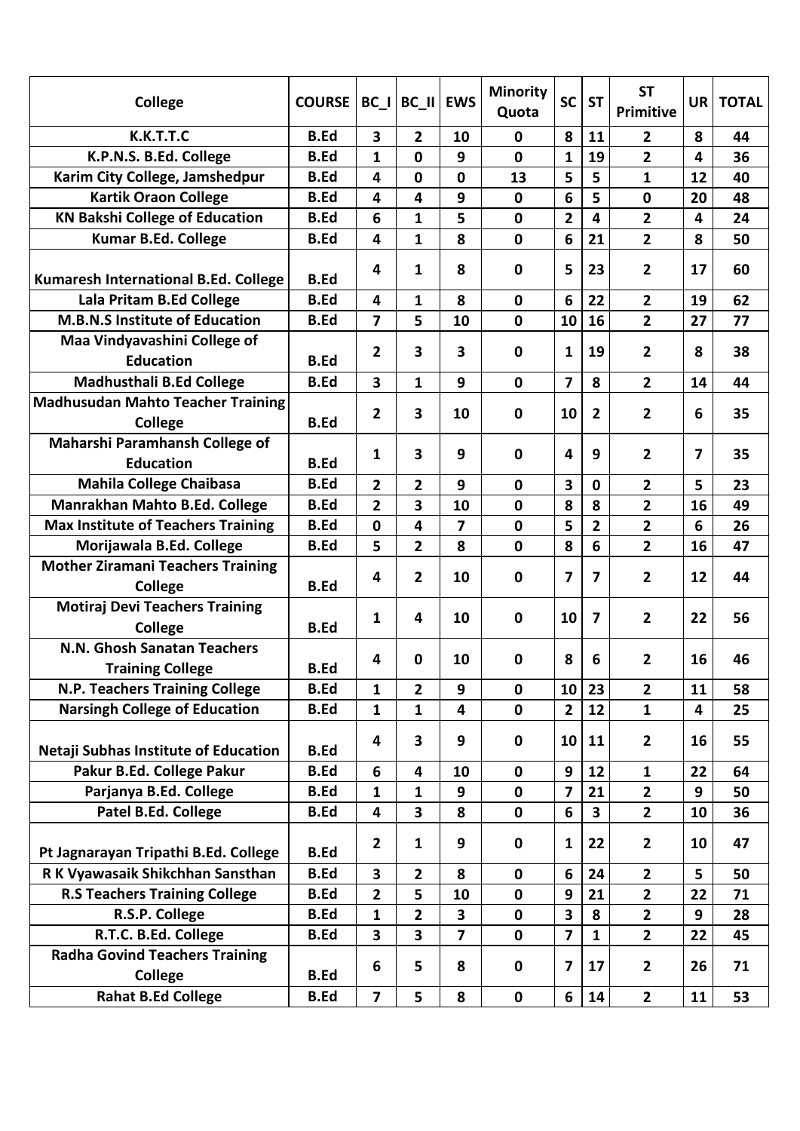| College                                                 | <b>COURSE</b> | $BC_$                   | BC II                   | <b>EWS</b>              | <b>Minority</b><br>Quota | <b>SC</b>        | <b>ST</b>               | <b>ST</b><br>Primitive  | <b>UR</b> | <b>TOTAL</b> |
|---------------------------------------------------------|---------------|-------------------------|-------------------------|-------------------------|--------------------------|------------------|-------------------------|-------------------------|-----------|--------------|
| K.K.T.T.C                                               | <b>B.Ed</b>   | 3                       | $\overline{2}$          | 10                      | $\mathbf 0$              | 8                | 11                      | $\overline{2}$          | 8         | 44           |
| K.P.N.S. B.Ed. College                                  | <b>B.Ed</b>   | 1                       | $\mathbf{0}$            | 9                       | $\mathbf 0$              | 1                | 19                      | $\overline{2}$          | 4         | 36           |
| Karim City College, Jamshedpur                          | <b>B.Ed</b>   | 4                       | $\mathbf 0$             | $\mathbf 0$             | 13                       | 5                | 5                       | $\mathbf{1}$            | 12        | 40           |
| <b>Kartik Oraon College</b>                             | <b>B.Ed</b>   | 4                       | 4                       | 9                       | $\mathbf 0$              | 6                | 5                       | $\mathbf 0$             | 20        | 48           |
| <b>KN Bakshi College of Education</b>                   | <b>B.Ed</b>   | 6                       | $\mathbf{1}$            | 5                       | $\mathbf 0$              | $\overline{2}$   | $\overline{\mathbf{4}}$ | $\overline{2}$          | 4         | 24           |
| Kumar B.Ed. College                                     | <b>B.Ed</b>   | 4                       | $\mathbf{1}$            | 8                       | $\mathbf 0$              | 6                | 21                      | $\overline{2}$          | 8         | 50           |
| Kumaresh International B.Ed. College                    | <b>B.Ed</b>   | 4                       | 1                       | 8                       | 0                        | 5                | 23                      | $\overline{2}$          | 17        | 60           |
| Lala Pritam B.Ed College                                | <b>B.Ed</b>   | 4                       | 1                       | 8                       | $\mathbf 0$              | 6                | 22                      | $\overline{2}$          | 19        | 62           |
| <b>M.B.N.S Institute of Education</b>                   | <b>B.Ed</b>   | $\overline{7}$          | 5                       | 10                      | $\mathbf 0$              | 10               | 16                      | $\overline{2}$          | 27        | 77           |
| Maa Vindyavashini College of                            |               | 2                       | 3                       | 3                       | 0                        | 1                | 19                      | $\overline{2}$          | 8         | 38           |
| <b>Education</b>                                        | <b>B.Ed</b>   |                         |                         |                         |                          |                  |                         |                         |           |              |
| <b>Madhusthali B.Ed College</b>                         | <b>B.Ed</b>   | $\overline{\mathbf{3}}$ | $\mathbf{1}$            | 9                       | $\mathbf 0$              | $\overline{7}$   | 8                       | $\overline{2}$          | 14        | 44           |
| <b>Madhusudan Mahto Teacher Training</b><br>College     | <b>B.Ed</b>   | 2                       | 3                       | 10                      | $\mathbf 0$              | 10               | $\overline{2}$          | $\overline{2}$          | 6         | 35           |
| Maharshi Paramhansh College of<br><b>Education</b>      | <b>B.Ed</b>   | 1                       | 3                       | 9                       | $\mathbf 0$              | 4                | 9                       | 2                       | 7         | 35           |
| <b>Mahila College Chaibasa</b>                          | <b>B.Ed</b>   | $\overline{2}$          | $\overline{2}$          | 9                       | $\mathbf 0$              | 3                | $\mathbf 0$             | $\overline{2}$          | 5         | 23           |
| Manrakhan Mahto B.Ed. College                           | <b>B.Ed</b>   | $\overline{2}$          | 3                       | 10                      | $\mathbf 0$              | 8                | 8                       | 2                       | 16        | 49           |
| <b>Max Institute of Teachers Training</b>               | <b>B.Ed</b>   | $\mathbf{0}$            | 4                       | $\overline{\mathbf{z}}$ | $\mathbf 0$              | 5                | $\overline{2}$          | $\overline{2}$          | 6         | 26           |
| Morijawala B.Ed. College                                | <b>B.Ed</b>   | 5                       | $\overline{2}$          | 8                       | $\mathbf 0$              | 8                | 6                       | $\overline{2}$          | 16        | 47           |
| <b>Mother Ziramani Teachers Training</b>                |               |                         |                         |                         |                          |                  |                         |                         |           |              |
| College                                                 | <b>B.Ed</b>   | 4                       | 2                       | 10                      | 0                        | 7                | 7                       | $\overline{2}$          | 12        | 44           |
| <b>Motiraj Devi Teachers Training</b>                   |               |                         | 4                       |                         |                          | 10               | $\overline{\mathbf{z}}$ | $\overline{2}$          | 22        | 56           |
| College                                                 | <b>B.Ed</b>   | 1                       |                         | 10                      | 0                        |                  |                         |                         |           |              |
| N.N. Ghosh Sanatan Teachers                             |               |                         | $\mathbf 0$             |                         |                          |                  |                         |                         | 16        | 46           |
| <b>Training College</b>                                 | <b>B.Ed</b>   | 4                       |                         | 10                      | 0                        | 8                | 6                       | 2                       |           |              |
| <b>N.P. Teachers Training College</b>                   | <b>B.Ed</b>   | 1                       | 2                       | 9                       | 0                        | 10               | 23                      | $\overline{2}$          | 11        | 58           |
| <b>Narsingh College of Education</b>                    | <b>B.Ed</b>   | $\mathbf{1}$            | $\mathbf{1}$            | $\overline{\mathbf{4}}$ | $\mathbf 0$              | $\overline{2}$   | 12                      | $\mathbf{1}$            | 4         | 25           |
| <b>Netaji Subhas Institute of Education</b>             | <b>B.Ed</b>   | 4                       | 3                       | 9                       | $\mathbf 0$              | 10               | 11                      | $\overline{2}$          | 16        | 55           |
| Pakur B.Ed. College Pakur                               | <b>B.Ed</b>   | 6                       | 4                       | 10                      | $\mathbf 0$              | 9                | 12                      | $\mathbf{1}$            | 22        | 64           |
| Parjanya B.Ed. College                                  | <b>B.Ed</b>   | $\mathbf{1}$            | $\mathbf{1}$            | 9                       | $\mathbf 0$              | $\overline{7}$   | 21                      | $\overline{2}$          | 9         | 50           |
| Patel B.Ed. College                                     | <b>B.Ed</b>   | 4                       | 3                       | 8                       | $\mathbf 0$              | 6                | $\mathbf{3}$            | $\overline{2}$          | 10        | 36           |
| Pt Jagnarayan Tripathi B.Ed. College                    | <b>B.Ed</b>   | $\mathbf{2}$            | $\mathbf{1}$            | 9                       | $\mathbf 0$              | 1                | 22                      | $\overline{2}$          | 10        | 47           |
| R K Vyawasaik Shikchhan Sansthan                        | <b>B.Ed</b>   | 3                       | $\overline{\mathbf{2}}$ | 8                       | $\mathbf 0$              | $\boldsymbol{6}$ | 24                      | $\mathbf{2}$            | 5         | 50           |
| <b>R.S Teachers Training College</b>                    | <b>B.Ed</b>   | $\overline{2}$          | 5                       | 10                      | $\mathbf 0$              | 9                | 21                      | $\overline{2}$          | 22        | 71           |
| R.S.P. College                                          | <b>B.Ed</b>   | 1                       | $\overline{2}$          | 3                       | $\mathbf 0$              | 3                | 8                       | $\overline{2}$          | 9         | 28           |
| R.T.C. B.Ed. College                                    | <b>B.Ed</b>   | 3                       | 3                       | $\overline{\mathbf{z}}$ | $\mathbf 0$              | $\overline{7}$   | $\mathbf{1}$            | $\overline{2}$          | 22        | 45           |
| <b>Radha Govind Teachers Training</b><br><b>College</b> | <b>B.Ed</b>   | 6                       | 5                       | 8                       | $\mathbf 0$              | 7                | 17                      | $\overline{2}$          | 26        | 71           |
| <b>Rahat B.Ed College</b>                               | <b>B.Ed</b>   | $\overline{\mathbf{z}}$ | 5                       | 8                       | $\mathbf 0$              | 6                | 14                      | $\overline{\mathbf{2}}$ | 11        | 53           |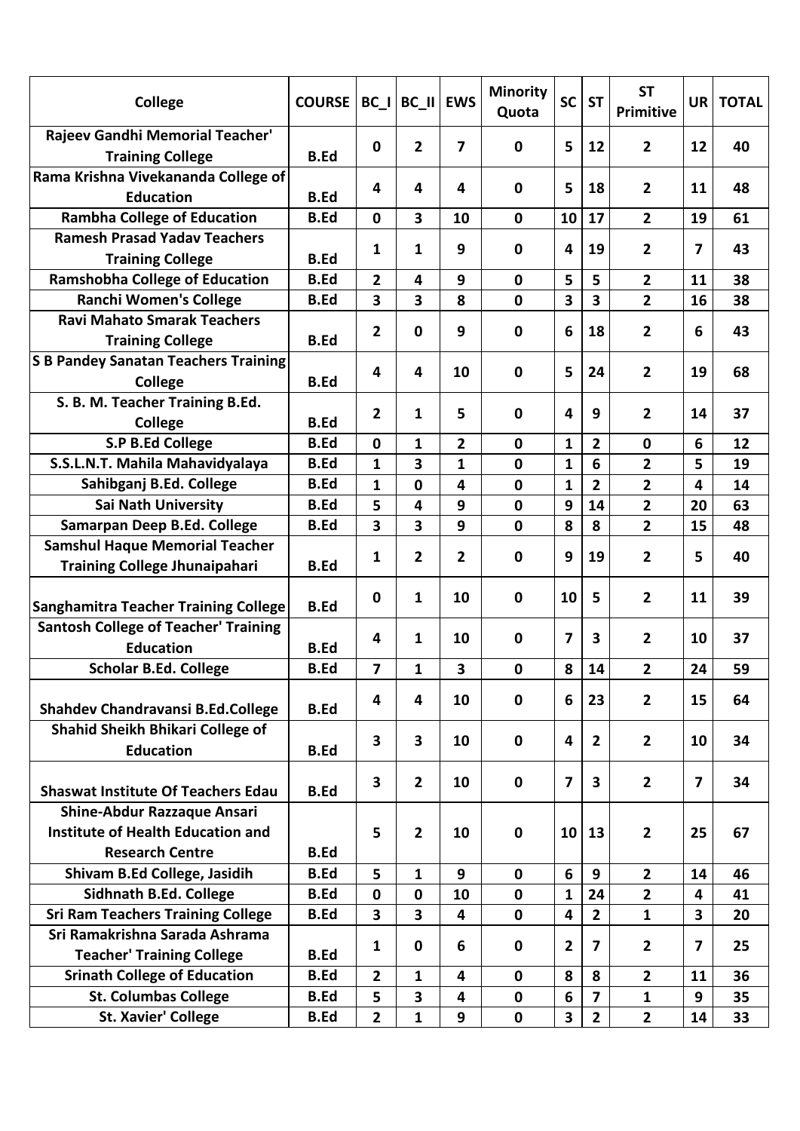| College                                                                       | <b>COURSE</b> | $BC_$                        | $BC$ $II$                    | <b>EWS</b>     | <b>Minority</b><br>Quota   | <b>SC</b>    | <b>ST</b>               | <b>ST</b><br>Primitive           | UR     | <b>TOTAL</b> |
|-------------------------------------------------------------------------------|---------------|------------------------------|------------------------------|----------------|----------------------------|--------------|-------------------------|----------------------------------|--------|--------------|
| Rajeev Gandhi Memorial Teacher'<br><b>Training College</b>                    | <b>B.Ed</b>   | $\mathbf 0$                  | $\overline{2}$               | $\overline{7}$ | $\mathbf 0$                | 5            | 12                      | $\overline{2}$                   | 12     | 40           |
| Rama Krishna Vivekananda College of<br><b>Education</b>                       | <b>B.Ed</b>   | 4                            | 4                            | 4              | $\mathbf 0$                | 5            | 18                      | $\overline{2}$                   | 11     | 48           |
| <b>Rambha College of Education</b>                                            | <b>B.Ed</b>   | 0                            | $\overline{\mathbf{3}}$      | 10             | $\mathbf 0$                | 10           | 17                      | $\overline{2}$                   | 19     | 61           |
| <b>Ramesh Prasad Yadav Teachers</b><br><b>Training College</b>                | <b>B.Ed</b>   | 1                            | 1                            | 9              | 0                          | 4            | 19                      | $\overline{2}$                   | 7      | 43           |
| <b>Ramshobha College of Education</b>                                         | <b>B.Ed</b>   | $\overline{2}$               | 4                            | 9              | $\mathbf 0$                | 5            | 5                       | $\overline{2}$                   | 11     | 38           |
| <b>Ranchi Women's College</b>                                                 | <b>B.Ed</b>   | 3                            | 3                            | 8              | $\mathbf 0$                | 3            | $\overline{\mathbf{3}}$ | $\overline{2}$                   | 16     | 38           |
| <b>Ravi Mahato Smarak Teachers</b>                                            |               |                              |                              |                |                            |              |                         |                                  |        |              |
| <b>Training College</b>                                                       | <b>B.Ed</b>   | 2                            | $\mathbf 0$                  | 9              | $\mathbf 0$                | 6            | 18                      | $\overline{2}$                   | 6      | 43           |
| <b>S B Pandey Sanatan Teachers Training</b>                                   |               |                              |                              |                |                            |              |                         |                                  |        |              |
| College                                                                       | <b>B.Ed</b>   | 4                            | 4                            | 10             | $\mathbf 0$                | 5            | 24                      | $\overline{2}$                   | 19     | 68           |
| S. B. M. Teacher Training B.Ed.                                               |               |                              |                              |                |                            |              |                         |                                  |        |              |
| College                                                                       | <b>B.Ed</b>   | 2                            | 1                            | 5              | $\mathbf 0$                | 4            | 9                       | $\overline{2}$                   | 14     | 37           |
| <b>S.P B.Ed College</b>                                                       | <b>B.Ed</b>   | 0                            |                              | $\overline{2}$ | $\mathbf 0$                |              |                         |                                  |        | 12           |
| S.S.L.N.T. Mahila Mahavidyalaya                                               | <b>B.Ed</b>   | $\mathbf{1}$                 | 1<br>3                       | $\mathbf{1}$   | $\mathbf 0$                | 1<br>1       | $\overline{2}$<br>6     | 0<br>$\overline{2}$              | 6<br>5 | 19           |
| Sahibganj B.Ed. College                                                       | <b>B.Ed</b>   | $\mathbf{1}$                 | $\mathbf 0$                  | 4              | $\mathbf 0$                | $\mathbf{1}$ | $\overline{2}$          | $\overline{2}$                   | 4      | 14           |
| <b>Sai Nath University</b>                                                    | <b>B.Ed</b>   |                              |                              |                |                            |              |                         |                                  |        |              |
|                                                                               |               | 5<br>$\overline{\mathbf{3}}$ | 4<br>$\overline{\mathbf{3}}$ | 9<br>9         | $\mathbf 0$<br>$\mathbf 0$ | 9<br>8       | 14<br>8                 | $\overline{2}$<br>$\overline{2}$ | 20     | 63           |
| Samarpan Deep B.Ed. College                                                   | <b>B.Ed</b>   |                              |                              |                |                            |              |                         |                                  | 15     | 48           |
| <b>Samshul Haque Memorial Teacher</b><br><b>Training College Jhunaipahari</b> | <b>B.Ed</b>   | 1                            | $\overline{2}$               | $\overline{2}$ | $\mathbf 0$                | 9            | 19                      | $\overline{2}$                   | 5      | 40           |
| <b>Sanghamitra Teacher Training College</b>                                   | <b>B.Ed</b>   | 0                            | 1                            | 10             | $\mathbf 0$                | 10           | 5                       | $\overline{2}$                   | 11     | 39           |
| <b>Santosh College of Teacher' Training</b><br><b>Education</b>               | <b>B.Ed</b>   | 4                            | 1                            | 10             | $\mathbf 0$                | 7            | 3                       | $\overline{2}$                   | 10     | 37           |
| <b>Scholar B.Ed. College</b>                                                  | <b>B.Ed</b>   | 7                            | 1                            | 3              | $\mathbf 0$                | 8            | 14                      | $\overline{2}$                   | 24     | 59           |
| Shahdev Chandravansi B.Ed.College                                             | <b>B.Ed</b>   | 4                            | 4                            | 10             | $\mathbf 0$                | 6            | 23                      | $\overline{2}$                   | 15     | 64           |
| Shahid Sheikh Bhikari College of<br><b>Education</b>                          | <b>B.Ed</b>   | 3                            | 3                            | 10             | $\mathbf 0$                | 4            | $\overline{2}$          | $\overline{2}$                   | 10     | 34           |
| <b>Shaswat Institute Of Teachers Edau</b>                                     | <b>B.Ed</b>   | 3                            | $\overline{2}$               | 10             | $\mathbf 0$                | 7            | $\overline{\mathbf{3}}$ | $\overline{2}$                   | 7      | 34           |
| <b>Shine-Abdur Razzaque Ansari</b>                                            |               |                              |                              |                |                            |              |                         |                                  |        |              |
| Institute of Health Education and                                             |               | 5                            | $\overline{2}$               | 10             | $\mathbf 0$                | 10           | 13                      | $\overline{2}$                   | 25     | 67           |
| <b>Research Centre</b>                                                        | <b>B.Ed</b>   |                              |                              |                |                            |              |                         |                                  |        |              |
| Shivam B.Ed College, Jasidih                                                  | <b>B.Ed</b>   | 5                            | $\mathbf{1}$                 | 9              | $\mathbf 0$                | 6            | 9                       | $\overline{2}$                   | 14     | 46           |
| Sidhnath B.Ed. College                                                        | <b>B.Ed</b>   | $\mathbf{0}$                 | $\mathbf 0$                  | 10             | $\mathbf{0}$               | 1            | 24                      | $\overline{2}$                   | 4      | 41           |
| <b>Sri Ram Teachers Training College</b>                                      | <b>B.Ed</b>   | 3                            | 3                            | 4              | $\mathbf 0$                | 4            | $\overline{2}$          | $\mathbf{1}$                     | 3      | 20           |
| Sri Ramakrishna Sarada Ashrama                                                |               |                              |                              |                |                            |              |                         |                                  |        |              |
| <b>Teacher' Training College</b>                                              | <b>B.Ed</b>   | 1                            | $\mathbf 0$                  | 6              | $\mathbf 0$                | 2            | $\overline{\mathbf{z}}$ | $\overline{2}$                   | 7      | 25           |
| <b>Srinath College of Education</b>                                           | <b>B.Ed</b>   | $\overline{2}$               | 1                            | 4              | $\mathbf 0$                | 8            | 8                       | $\overline{2}$                   | 11     | 36           |
| <b>St. Columbas College</b>                                                   | <b>B.Ed</b>   | 5                            | 3                            | 4              | $\mathbf 0$                | 6            | $\overline{\mathbf{z}}$ | $\mathbf{1}$                     | 9      | 35           |
| <b>St. Xavier' College</b>                                                    | <b>B.Ed</b>   | $\overline{2}$               | $\mathbf{1}$                 | 9              | $\mathbf 0$                | 3            | $\overline{2}$          | $\overline{2}$                   | 14     | 33           |